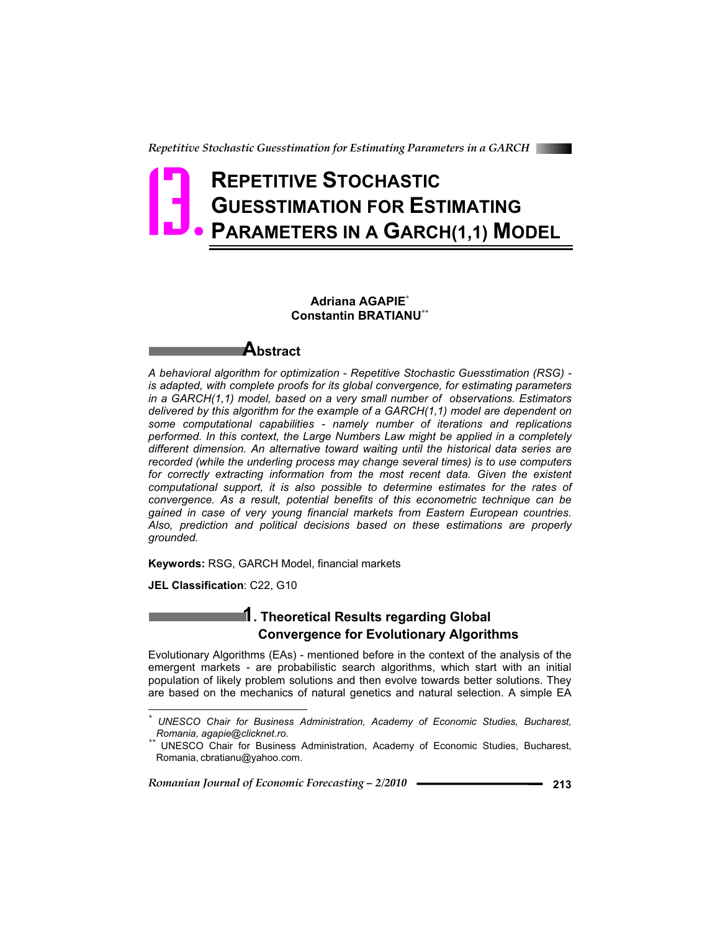*Repetitive Stochastic Guesstimation for Estimating Parameters in a GARCH* 

# **REPETITIVE STOCHASTIC GUESSTIMATION FOR ESTIMATING PARAMETERS IN A GARCH(1,1) MODEL 13.**

### **Adriana AGAPIE\* Constantin BRATIANU\*\***

### **Abstract**

*A behavioral algorithm for optimization - Repetitive Stochastic Guesstimation (RSG) is adapted, with complete proofs for its global convergence, for estimating parameters in a GARCH(1,1) model, based on a very small number of observations. Estimators delivered by this algorithm for the example of a GARCH(1,1) model are dependent on some computational capabilities - namely number of iterations and replications performed. In this context, the Large Numbers Law might be applied in a completely different dimension. An alternative toward waiting until the historical data series are recorded (while the underling process may change several times) is to use computers*  for correctly extracting information from the most recent data. Given the existent *computational support, it is also possible to determine estimates for the rates of convergence. As a result, potential benefits of this econometric technique can be gained in case of very young financial markets from Eastern European countries. Also, prediction and political decisions based on these estimations are properly grounded.*

**Keywords:** RSG, GARCH Model, financial markets

**JEL Classification**: C22, G10

 $\overline{a}$ 

### **1. Theoretical Results regarding Global Convergence for Evolutionary Algorithms**

Evolutionary Algorithms (EAs) - mentioned before in the context of the analysis of the emergent markets - are probabilistic search algorithms, which start with an initial population of likely problem solutions and then evolve towards better solutions. They are based on the mechanics of natural genetics and natural selection. A simple EA

*<sup>\*</sup> UNESCO Chair for Business Administration, Academy of Economic Studies, Bucharest, Romania, agapie@clicknet.ro.*<br><sup>\*</sup> UNESCO Chair for Business Administration, Academy of Economic Studies, Bucharest,

Romania, cbratianu@yahoo.com.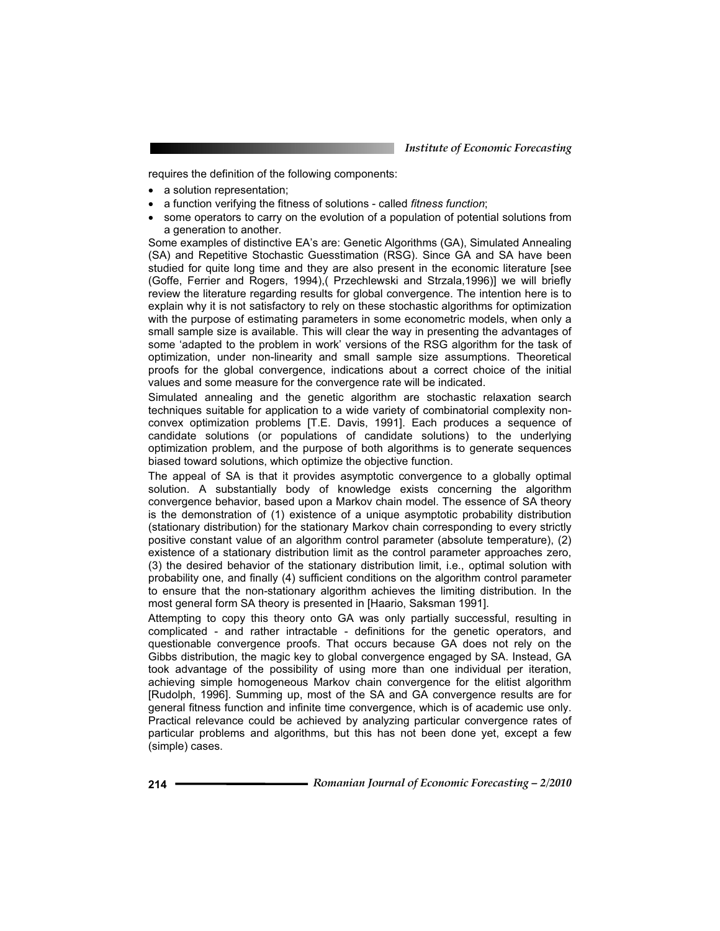requires the definition of the following components:

- a solution representation:
- a function verifying the fitness of solutions called *fitness function*;
- some operators to carry on the evolution of a population of potential solutions from a generation to another.

Some examples of distinctive EA's are: Genetic Algorithms (GA), Simulated Annealing (SA) and Repetitive Stochastic Guesstimation (RSG). Since GA and SA have been studied for quite long time and they are also present in the economic literature [see (Goffe, Ferrier and Rogers, 1994),( Przechlewski and Strzala,1996)] we will briefly review the literature regarding results for global convergence. The intention here is to explain why it is not satisfactory to rely on these stochastic algorithms for optimization with the purpose of estimating parameters in some econometric models, when only a small sample size is available. This will clear the way in presenting the advantages of some 'adapted to the problem in work' versions of the RSG algorithm for the task of optimization, under non-linearity and small sample size assumptions. Theoretical proofs for the global convergence, indications about a correct choice of the initial values and some measure for the convergence rate will be indicated.

Simulated annealing and the genetic algorithm are stochastic relaxation search techniques suitable for application to a wide variety of combinatorial complexity nonconvex optimization problems [T.E. Davis, 1991]. Each produces a sequence of candidate solutions (or populations of candidate solutions) to the underlying optimization problem, and the purpose of both algorithms is to generate sequences biased toward solutions, which optimize the objective function.

The appeal of SA is that it provides asymptotic convergence to a globally optimal solution. A substantially body of knowledge exists concerning the algorithm convergence behavior, based upon a Markov chain model. The essence of SA theory is the demonstration of (1) existence of a unique asymptotic probability distribution (stationary distribution) for the stationary Markov chain corresponding to every strictly positive constant value of an algorithm control parameter (absolute temperature), (2) existence of a stationary distribution limit as the control parameter approaches zero, (3) the desired behavior of the stationary distribution limit, i.e., optimal solution with probability one, and finally (4) sufficient conditions on the algorithm control parameter to ensure that the non-stationary algorithm achieves the limiting distribution. In the most general form SA theory is presented in [Haario, Saksman 1991].

Attempting to copy this theory onto GA was only partially successful, resulting in complicated - and rather intractable - definitions for the genetic operators, and questionable convergence proofs. That occurs because GA does not rely on the Gibbs distribution, the magic key to global convergence engaged by SA. Instead, GA took advantage of the possibility of using more than one individual per iteration, achieving simple homogeneous Markov chain convergence for the elitist algorithm [Rudolph, 1996]. Summing up, most of the SA and GA convergence results are for general fitness function and infinite time convergence, which is of academic use only. Practical relevance could be achieved by analyzing particular convergence rates of particular problems and algorithms, but this has not been done yet, except a few (simple) cases.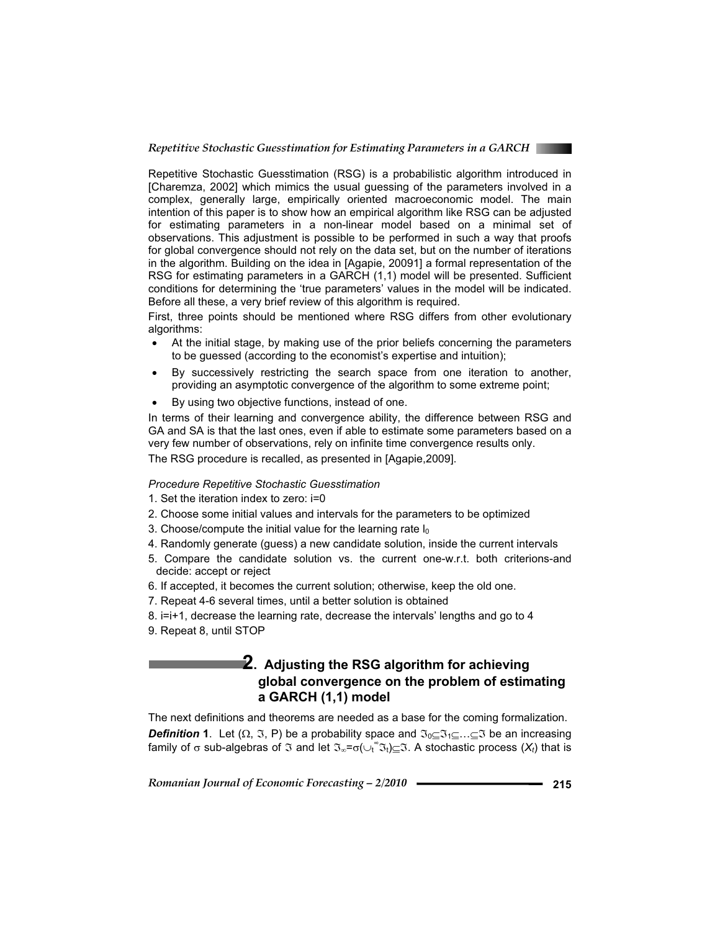

Repetitive Stochastic Guesstimation (RSG) is a probabilistic algorithm introduced in [Charemza, 2002] which mimics the usual guessing of the parameters involved in a complex, generally large, empirically oriented macroeconomic model. The main intention of this paper is to show how an empirical algorithm like RSG can be adjusted for estimating parameters in a non-linear model based on a minimal set of observations. This adjustment is possible to be performed in such a way that proofs for global convergence should not rely on the data set, but on the number of iterations in the algorithm. Building on the idea in [Agapie, 20091] a formal representation of the RSG for estimating parameters in a GARCH (1,1) model will be presented. Sufficient conditions for determining the 'true parameters' values in the model will be indicated. Before all these, a very brief review of this algorithm is required.

First, three points should be mentioned where RSG differs from other evolutionary algorithms:

- At the initial stage, by making use of the prior beliefs concerning the parameters to be guessed (according to the economist's expertise and intuition);
- By successively restricting the search space from one iteration to another, providing an asymptotic convergence of the algorithm to some extreme point;
- By using two objective functions, instead of one.

In terms of their learning and convergence ability, the difference between RSG and GA and SA is that the last ones, even if able to estimate some parameters based on a very few number of observations, rely on infinite time convergence results only. The RSG procedure is recalled, as presented in [Agapie,2009].

#### *Procedure Repetitive Stochastic Guesstimation*

- 1. Set the iteration index to zero: i=0
- 2. Choose some initial values and intervals for the parameters to be optimized
- 3. Choose/compute the initial value for the learning rate  $I_0$
- 4. Randomly generate (guess) a new candidate solution, inside the current intervals
- 5. Compare the candidate solution vs. the current one-w.r.t. both criterions-and decide: accept or reject
- 6. If accepted, it becomes the current solution; otherwise, keep the old one.
- 7. Repeat 4-6 several times, until a better solution is obtained
- 8. i=i+1, decrease the learning rate, decrease the intervals' lengths and go to 4
- 9. Repeat 8, until STOP

### **2.** Adjusting the RSG algorithm for achieving **global convergence on the problem of estimating a GARCH (1,1) model**

The next definitions and theorems are needed as a base for the coming formalization. **Definition 1.** Let  $(\Omega, \Im, P)$  be a probability space and  $\Im_{0} \subset \Im_{1} \subset ... \subset \Im$  be an increasing family of  $\sigma$  sub-algebras of  $\Im$  and let  $\Im_{\infty}=\sigma(\cup_{t}^{\infty}\Im_{t})\subseteq\Im$ . A stochastic process  $(X_{t})$  that is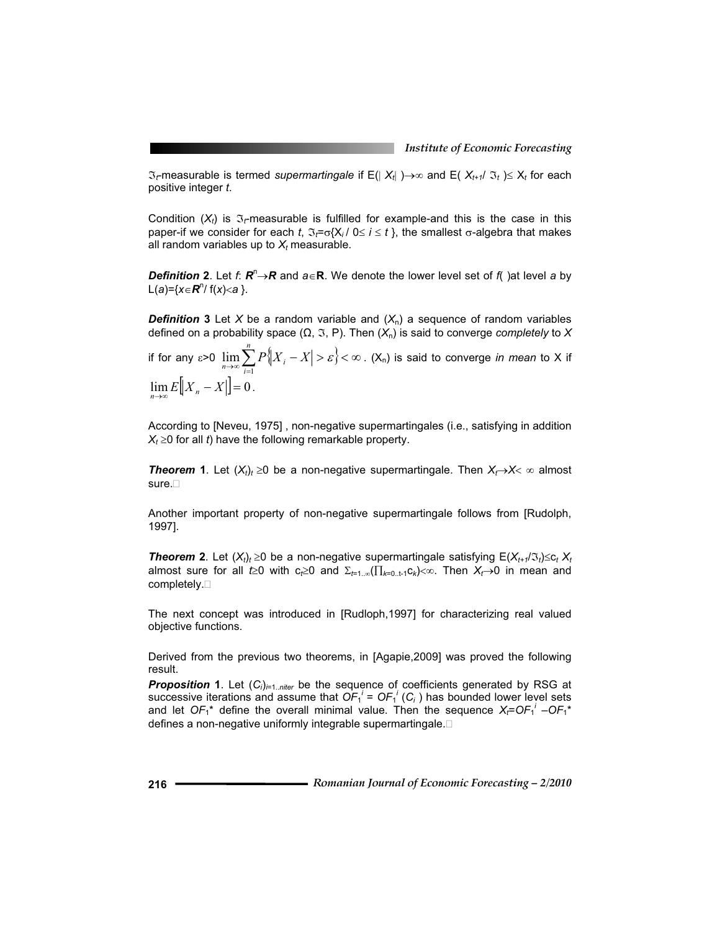$\mathfrak{I}_r$ measurable is termed *supermartingale* if E(|  $X_t$ | ) $\rightarrow \infty$  and E(  $X_{t+1}/\mathfrak{I}_t$  ) $\leq X_t$  for each positive integer *t*.

Condition  $(X_t)$  is  $\mathfrak{I}_t$ -measurable is fulfilled for example-and this is the case in this paper-if we consider for each *t*,  $\Im \tau = \sigma\{X_i / 0 \le i \le t\}$ , the smallest  $\sigma$ -algebra that makes all random variables up to  $X_t$  measurable.

*Definition* 2. Let *f*:  $R^{n} \rightarrow R$  and  $a \in R$ . We denote the lower level set of *f*( )at level *a* by  $L(a)=\{x \in \mathbb{R}^n \mid f(x) < a\}.$ 

**Definition 3** Let *X* be a random variable and  $(X_n)$  a sequence of random variables defined on a probability space  $(\Omega, \Im, P)$ . Then  $(X_n)$  is said to converge *completely* to X

if for any  $\varepsilon$ >0  $\lim_{n\to\infty}\sum_{i=1} P\big\|X_{i} - X\big| > \varepsilon$ }<  $\infty$ *n*  $\lim_{n\to\infty}\sum_{i=1}^n P\big\{X_i-X_i\big\}$  $\lim_{n\to\infty}\sum_{i=1}P\big\{|X_i-X\big|>\varepsilon\big\}<\infty$  . (X<sub>n</sub>) is said to converge *in mean* to X if  $\lim E\big[|X_n - X|\big] = 0$ .

According to [Neveu, 1975] , non-negative supermartingales (i.e., satisfying in addition  $X_t \geq 0$  for all *t*) have the following remarkable property.

**Theorem 1**. Let  $(X_t)_t \geq 0$  be a non-negative supermartingale. Then  $X_t \rightarrow X < \infty$  almost sure.<sup>[]</sup>

Another important property of non-negative supermartingale follows from [Rudolph, 1997].

*Theorem* **2.** Let  $(X_t)$ <sub>t</sub>  $\geq 0$  be a non-negative supermartingale satisfying  $E(X_{t+1}/\mathfrak{T}_t) \leq c_t X_t$ almost sure for all  $t\geq0$  with  $c\geq0$  and  $\Sigma_{t=1}$ .  $\left(\prod_{k=0}^{t}$ .  $t\neq0\right)\leq\infty$ . Then  $X_t\to0$  in mean and completely.

The next concept was introduced in [Rudloph,1997] for characterizing real valued objective functions.

Derived from the previous two theorems, in [Agapie,2009] was proved the following result.

**Proposition 1.** Let  $(C_i)_{i=1..niter}$  be the sequence of coefficients generated by RSG at successive iterations and assume that  $OF_1^i = OF_1^i$  ( $C_i$ ) has bounded lower level sets and let  $OF_1^*$  define the overall minimal value. Then the sequence  $X_i=OF_1^i$   $-OF_1^*$ defines a non-negative uniformly integrable supermartingale.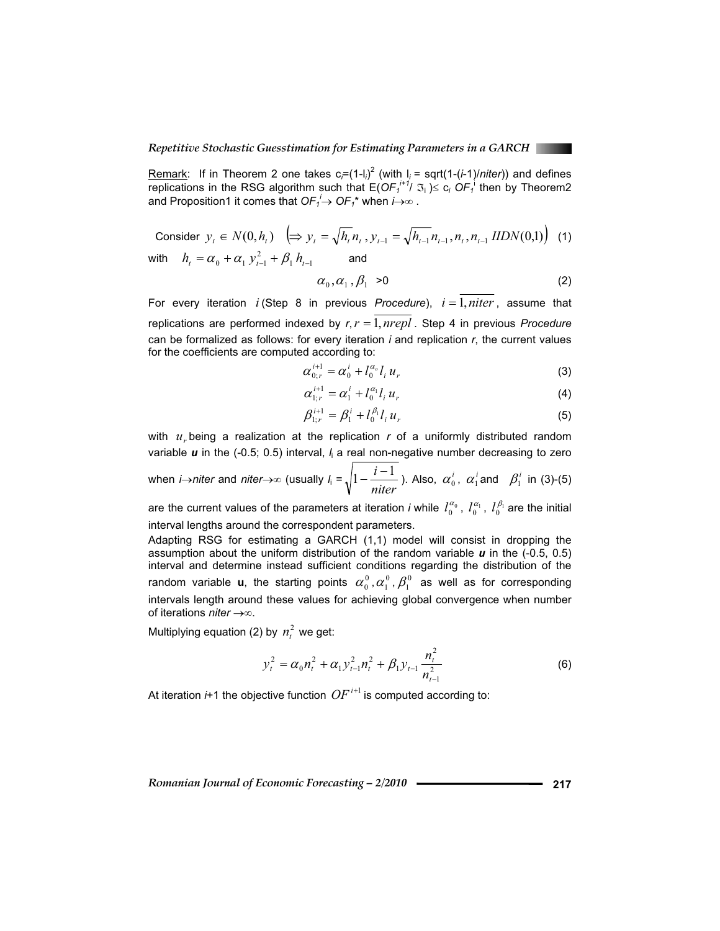Remark: If in Theorem 2 one takes  $c_i = (1 - l_i)^2$  (with  $l_i = \sqrt{(1 - l_i)/n}$ *iter*)) and defines replications in the RSG algorithm such that  $E(OF_1^{i+j}/\mathfrak{I}_i) \leq c_i$   $OF_1^1$  then by Theorem2 and Proposition1 it comes that  $OF_1^i \rightarrow OF_1^*$  when  $i \rightarrow \infty$  .

Consider 
$$
y_t \in N(0, h_t)
$$
  $\left( \Rightarrow y_t = \sqrt{h_t} n_t, y_{t-1} = \sqrt{h_{t-1}} n_{t-1}, n_t, n_{t-1} \text{ IIDN}(0,1) \right)$  (1)

with  $h_{i} = \alpha_{0} + \alpha_{1} y_{i-1}^{2} + \beta_{1} h_{i-1}$  and

$$
\alpha_0, \alpha_1, \beta_1 > 0 \tag{2}
$$

For every iteration  $i$  (Step 8 in previous *Procedure*),  $i = 1$ , *niter*, assume that replications are performed indexed by  $r, r = 1, nrepl$ . Step 4 in previous *Procedure* can be formalized as follows: for every iteration *i* and replication *r*, the current values for the coefficients are computed according to:

$$
\alpha_{0:r}^{i+1} = \alpha_0^i + l_0^{\alpha_0} l_i u_r \tag{3}
$$

$$
\alpha_{1:r}^{i+1} = \alpha_1^i + l_0^{\alpha_1} l_i u_r \tag{4}
$$

$$
\beta_{1:r}^{i+1} = \beta_1^i + l_0^{\beta_1} l_i u_r \tag{5}
$$

with  $u<sub>r</sub>$  being a realization at the replication  $r$  of a uniformly distributed random variable *u* in the (-0.5; 0.5) interval, *l<sub>i</sub>* a real non-negative number decreasing to zero

when *i*→*niter* and *niter*→∞ (usually 
$$
l_i = \sqrt{1 - \frac{i - 1}{niter}}
$$
). Also,  $\alpha_0^i$ ,  $\alpha_1^i$  and  $\beta_1^i$  in (3)-(5)

are the current values of the parameters at iteration *i* while  $l_0^{\alpha_0}$ ,  $l_0^{\alpha_1}$ ,  $l_0^{\beta_1}$  are the initial interval lengths around the correspondent parameters.

Adapting RSG for estimating a GARCH (1,1) model will consist in dropping the assumption about the uniform distribution of the random variable *u* in the (-0.5, 0.5) interval and determine instead sufficient conditions regarding the distribution of the random variable **u**, the starting points  $\alpha_0^0$ ,  $\alpha_1^0$ ,  $\beta_1^0$  as well as for corresponding intervals length around these values for achieving global convergence when number of iterations *niter*  $\rightarrow \infty$ .

Multiplying equation (2) by  $n_t^2$  we get:

$$
y_t^2 = \alpha_0 n_t^2 + \alpha_1 y_{t-1}^2 n_t^2 + \beta_1 y_{t-1} \frac{n_t^2}{n_{t-1}^2}
$$
 (6)

At iteration  $i+1$  the objective function  $OF^{i+1}$  is computed according to: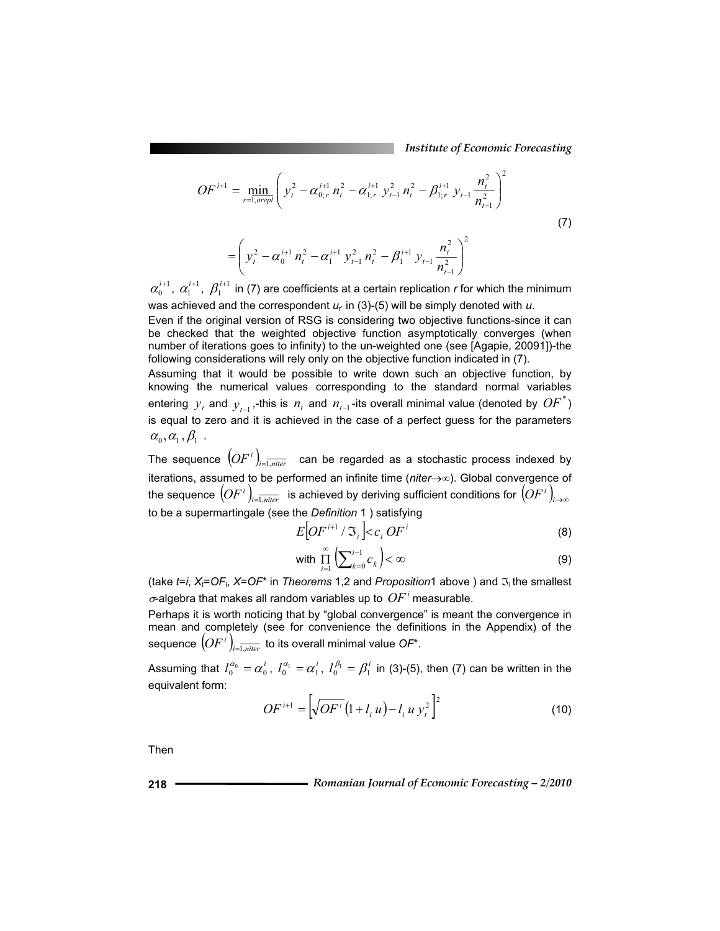*Institute of Economic Forecasting*

$$
OF^{i+1} = \min_{r=1, nrepl} \left( y_t^2 - \alpha_{0;r}^{i+1} n_t^2 - \alpha_{1;r}^{i+1} y_{t-1}^2 n_t^2 - \beta_{1;r}^{i+1} y_{t-1} \frac{n_t^2}{n_{t-1}^2} \right)^2
$$
  
= 
$$
\left( y_t^2 - \alpha_0^{i+1} n_t^2 - \alpha_1^{i+1} y_{t-1}^2 n_t^2 - \beta_1^{i+1} y_{t-1} \frac{n_t^2}{n_{t-1}^2} \right)^2
$$
 (7)

 $\alpha_0^{i+1}$ ,  $\alpha_1^{i+1}$ ,  $\beta_1^{i+1}$  in (7) are coefficients at a certain replication *r* for which the minimum was achieved and the correspondent  $u_r$  in (3)-(5) will be simply denoted with  $u$ .

Even if the original version of RSG is considering two objective functions-since it can be checked that the weighted objective function asymptotically converges (when number of iterations goes to infinity) to the un-weighted one (see [Agapie, 20091])-the following considerations will rely only on the objective function indicated in (7).

Assuming that it would be possible to write down such an objective function, by knowing the numerical values corresponding to the standard normal variables entering  $y_t$  and  $y_{t-1}$ ,-this is  $n_t$  and  $n_{t-1}$ -its overall minimal value (denoted by  $OF^*$ ) is equal to zero and it is achieved in the case of a perfect guess for the parameters  $\alpha_{0}, \alpha_{1}, \beta_{1}$ .

The sequence  $\left(OF^{\,i}\right)_{\!i=1,niter}$  can be regarded as a stochastic process indexed by iterations, assumed to be performed an infinite time (*niter* $\rightarrow \infty$ ). Global convergence of the sequence  $\left(OF^i\right)_{i=\overline{1,niter}}$  is achieved by deriving sufficient conditions for  $\left(OF^i\right)_{i\to\infty}$ to be a supermartingale (see the *Definition* 1 ) satisfying

$$
E[OF^{i+1}/\mathfrak{I}_i] < c_i \, OF^i \tag{8}
$$

with 
$$
\prod_{i=1}^{\infty} \left( \sum_{k=0}^{i-1} c_k \right) < \infty
$$
 (9)

(take *t=i*, *X*<sub>t</sub>=OF<sub>i</sub>, *X*=OF<sup>\*</sup> in *Theorems* 1,2 and *Proposition*1 above ) and  $\mathfrak{I}_i$  the smallest  $\sigma$ -algebra that makes all random variables up to  $OF<sup>i</sup>$  measurable.

Perhaps it is worth noticing that by "global convergence" is meant the convergence in mean and completely (see for convenience the definitions in the Appendix) of the sequence  $\left(OF^{\,i}\right)_{\scriptscriptstyle i=\overline{1},\overline{mier}}$  to its overall minimal value  $OP^{\star}.$ 

Assuming that  $l_0^{\alpha_0} = \alpha_0^i$ ,  $l_0^{\alpha_1} = \alpha_1^i$ ,  $l_0^{\beta_1} = \beta_1^i$  in (3)-(5), then (7) can be written in the equivalent form:

$$
OF^{i+1} = \left[\sqrt{OF^i}\left(1 + l_i u\right) - l_i u y_i^2\right]^2\tag{10}
$$

Then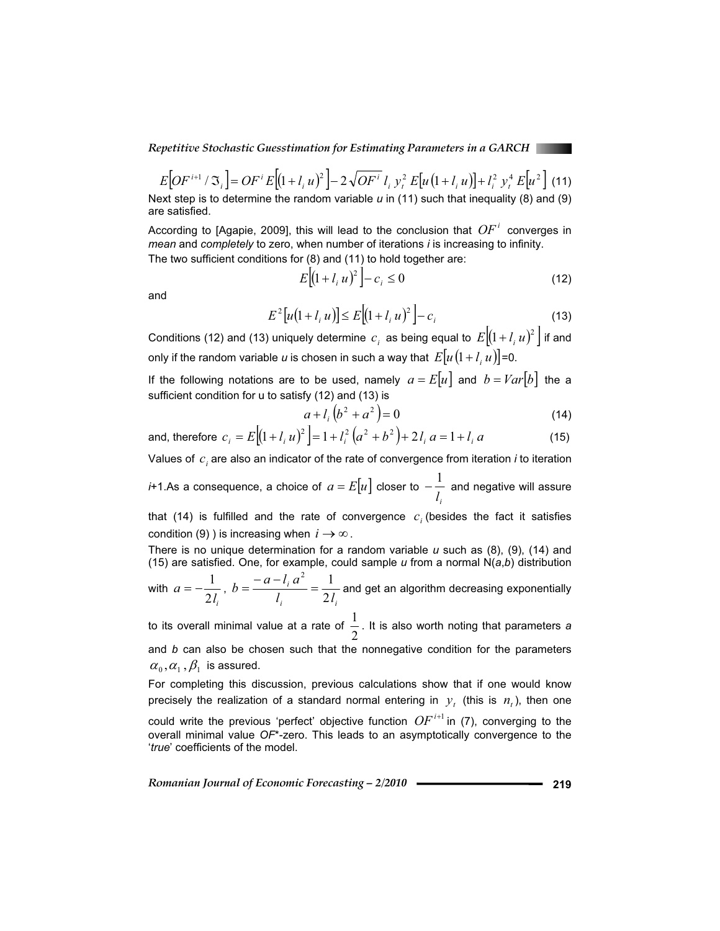*Repetitive Stochastic Guesstimation for Estimating Parameters in a GARCH* 

$$
E[OF^{i+1} / \Im_i] = OF^i E[(1 + l_i u)^2] - 2\sqrt{OF^i} l_i y_i^2 E[u(1 + l_i u)] + l_i^2 y_i^4 E[u^2]
$$
 (11)

Next step is to determine the random variable *u* in (11) such that inequality (8) and (9) are satisfied.

According to [Agapie, 2009], this will lead to the conclusion that  $OF<sup>i</sup>$  converges in *mean* and *completely* to zero, when number of iterations *i* is increasing to infinity.

The two sufficient conditions for (8) and (11) to hold together are:

$$
E[(1 + l_i u)^2] - c_i \le 0
$$
 (12)

and

$$
E^{2}[u(1 + l_{i} u)] \leq E[(1 + l_{i} u)^{2}] - c_{i}
$$
\n(13)

Conditions (12) and (13) uniquely determine  $c_i$  as being equal to  $E[(1+l_i u)^2]$  if and only if the random variable *u* is chosen in such a way that  $E[u(1+l, u)]$ =0.

If the following notations are to be used, namely  $a = E[u]$  and  $b = Var[b]$  the a sufficient condition for u to satisfy (12) and (13) is

$$
a + l_i (b^2 + a^2) = 0 \tag{14}
$$

and, therefore 
$$
c_i = E[(1 + l_i u)^2] = 1 + l_i^2 (a^2 + b^2) + 2l_i a = 1 + l_i a
$$
 (15)

Values of  $c_i$  are also an indicator of the rate of convergence from iteration *i* to iteration

*i*+1.As a consequence, a choice of  $a = E[u]$  closer to *i l*  $-\frac{1}{1}$  and negative will assure

that (14) is fulfilled and the rate of convergence  $c_i$  (besides the fact it satisfies condition (9) ) is increasing when  $i \rightarrow \infty$ .

There is no unique determination for a random variable *u* such as (8), (9), (14) and (15) are satisfied. One, for example, could sample *u* from a normal N(*a*,*b*) distribution

with  $a = -\frac{1}{2l_i}$ *a*  $=-\frac{1}{2l},$  $i \qquad \qquad \angle t_i$ *i*  $l = 2l$  $b = \frac{-a - l_i a}{a}$ 2  $=\frac{-a-l_i a^2}{l}=\frac{1}{2l}$  and get an algorithm decreasing exponentially

to its overall minimal value at a rate of  $\frac{\pi}{2}$ 1 . It is also worth noting that parameters *a* and *b* can also be chosen such that the nonnegative condition for the parameters  $\alpha_0, \alpha_1, \beta_1$  is assured.

For completing this discussion, previous calculations show that if one would know precisely the realization of a standard normal entering in  $y_t$  (this is  $n_t$ ), then one could write the previous 'perfect' objective function  $OF^{i+1}$  in (7), converging to the overall minimal value *OF*\*-zero. This leads to an asymptotically convergence to the '*true*' coefficients of the model.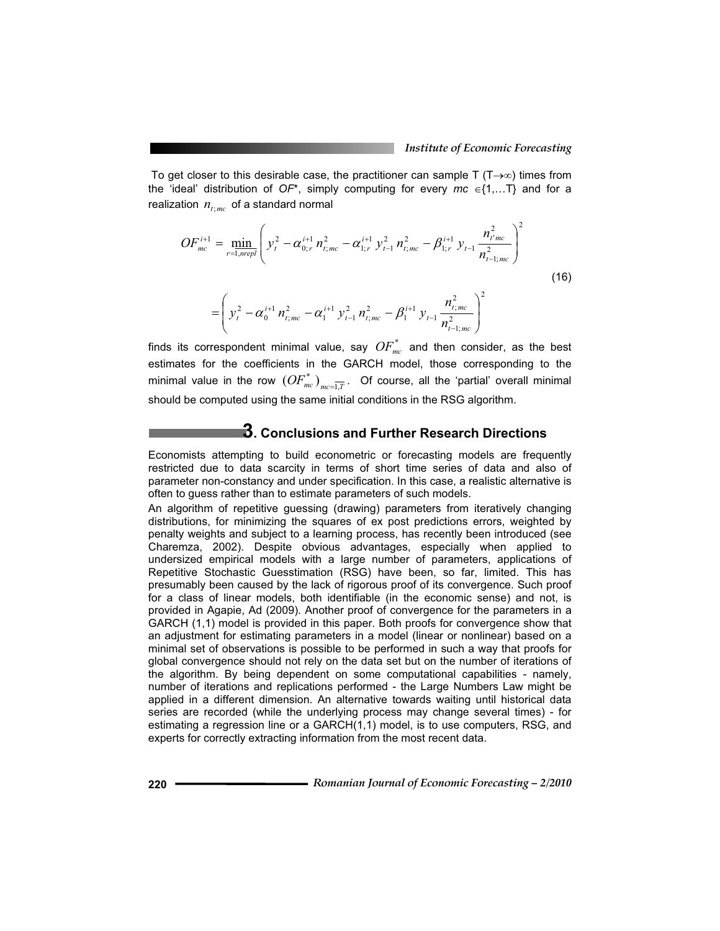To get closer to this desirable case, the practitioner can sample T ( $T\rightarrow\infty$ ) times from the 'ideal' distribution of  $OF^*$ , simply computing for every  $mc \in \{1,...T\}$  and for a realization  $n_{t;mc}$  of a standard normal

$$
OF_{mc}^{i+1} = \min_{r=1, nrepl} \left( y_t^2 - \alpha_{0;r}^{i+1} n_{t;mc}^2 - \alpha_{1;r}^{i+1} y_{t-1}^2 n_{t;mc}^2 - \beta_{1;r}^{i+1} y_{t-1} \frac{n_{t;mc}^2}{n_{t-1;mc}^2} \right)^2
$$
  

$$
= \left( y_t^2 - \alpha_0^{i+1} n_{t;mc}^2 - \alpha_1^{i+1} y_{t-1}^2 n_{t;mc}^2 - \beta_1^{i+1} y_{t-1} \frac{n_{t;mc}^2}{n_{t-1;mc}^2} \right)^2
$$
 (16)

finds its correspondent minimal value, say  $OF_{mc}^*$  and then consider, as the best estimates for the coefficients in the GARCH model, those corresponding to the minimal value in the row  $\left(OF_{\textit{mc}}^{*}\right)_{\textit{mc}=\overline{1,\overline{T}}}.$  Of course, all the 'partial' overall minimal should be computed using the same initial conditions in the RSG algorithm.

## **3. Conclusions and Further Research Directions**

Economists attempting to build econometric or forecasting models are frequently restricted due to data scarcity in terms of short time series of data and also of parameter non-constancy and under specification. In this case, a realistic alternative is often to guess rather than to estimate parameters of such models.

An algorithm of repetitive guessing (drawing) parameters from iteratively changing distributions, for minimizing the squares of ex post predictions errors, weighted by penalty weights and subject to a learning process, has recently been introduced (see Charemza, 2002). Despite obvious advantages, especially when applied to undersized empirical models with a large number of parameters, applications of Repetitive Stochastic Guesstimation (RSG) have been, so far, limited. This has presumably been caused by the lack of rigorous proof of its convergence. Such proof for a class of linear models, both identifiable (in the economic sense) and not, is provided in Agapie, Ad (2009). Another proof of convergence for the parameters in a GARCH (1,1) model is provided in this paper. Both proofs for convergence show that an adjustment for estimating parameters in a model (linear or nonlinear) based on a minimal set of observations is possible to be performed in such a way that proofs for global convergence should not rely on the data set but on the number of iterations of the algorithm. By being dependent on some computational capabilities - namely, number of iterations and replications performed - the Large Numbers Law might be applied in a different dimension. An alternative towards waiting until historical data series are recorded (while the underlying process may change several times) - for estimating a regression line or a GARCH(1,1) model, is to use computers, RSG, and experts for correctly extracting information from the most recent data.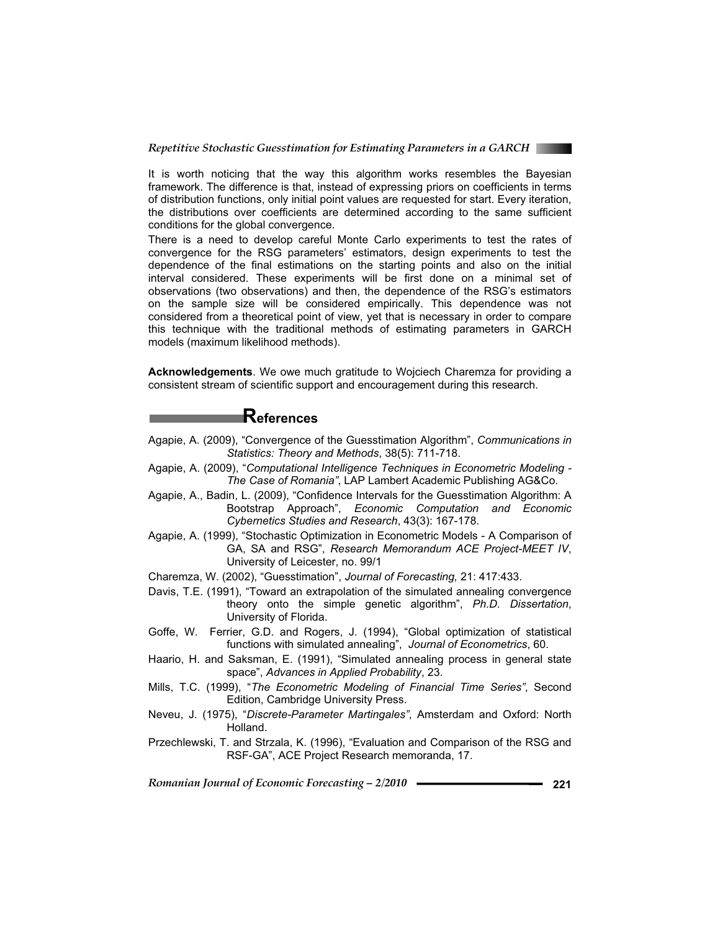

It is worth noticing that the way this algorithm works resembles the Bayesian framework. The difference is that, instead of expressing priors on coefficients in terms of distribution functions, only initial point values are requested for start. Every iteration, the distributions over coefficients are determined according to the same sufficient conditions for the global convergence.

There is a need to develop careful Monte Carlo experiments to test the rates of convergence for the RSG parameters' estimators, design experiments to test the dependence of the final estimations on the starting points and also on the initial interval considered. These experiments will be first done on a minimal set of observations (two observations) and then, the dependence of the RSG's estimators on the sample size will be considered empirically. This dependence was not considered from a theoretical point of view, yet that is necessary in order to compare this technique with the traditional methods of estimating parameters in GARCH models (maximum likelihood methods).

**Acknowledgements**. We owe much gratitude to Wojciech Charemza for providing a consistent stream of scientific support and encouragement during this research.

### **References**

- Agapie, A. (2009), "Convergence of the Guesstimation Algorithm", *Communications in Statistics: Theory and Methods*, 38(5): 711-718.
- Agapie, A. (2009), "*Computational Intelligence Techniques in Econometric Modeling The Case of Romania"*, LAP Lambert Academic Publishing AG&Co.
- Agapie, A., Badin, L. (2009), "Confidence Intervals for the Guesstimation Algorithm: A Bootstrap Approach", *Economic Computation and Economic Cybernetics Studies and Research*, 43(3): 167-178.
- Agapie, A. (1999), "Stochastic Optimization in Econometric Models A Comparison of GA, SA and RSG", *Research Memorandum ACE Project-MEET IV*, University of Leicester, no. 99/1
- Charemza, W. (2002), "Guesstimation", *Journal of Forecasting,* 21: 417:433.
- Davis, T.E. (1991), "Toward an extrapolation of the simulated annealing convergence theory onto the simple genetic algorithm", *Ph.D. Dissertation*, University of Florida.
- Goffe, W. Ferrier, G.D. and Rogers, J. (1994), "Global optimization of statistical functions with simulated annealing", *Journal of Econometrics*, 60.
- Haario, H. and Saksman, E. (1991), "Simulated annealing process in general state space", *Advances in Applied Probability*, 23.
- Mills, T.C. (1999), "*The Econometric Modeling of Financial Time Series"*, Second Edition, Cambridge University Press.
- Neveu, J. (1975), "*Discrete-Parameter Martingales"*, Amsterdam and Oxford: North Holland.
- Przechlewski, T. and Strzala, K. (1996), "Evaluation and Comparison of the RSG and RSF-GA", ACE Project Research memoranda, 17.